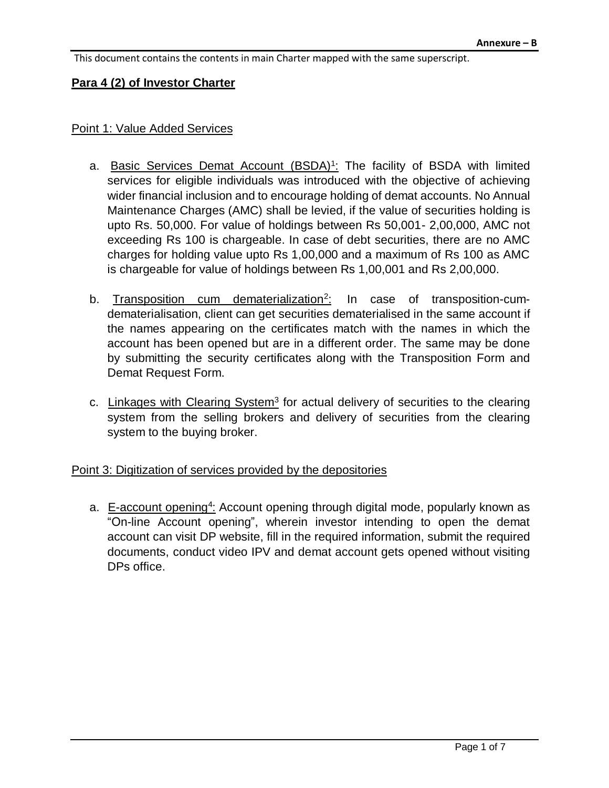This document contains the contents in main Charter mapped with the same superscript.

#### **Para 4 (2) of Investor Charter**

#### Point 1: Value Added Services

- a. Basic Services Demat Account (BSDA)<sup>1</sup>: The facility of BSDA with limited services for eligible individuals was introduced with the objective of achieving wider financial inclusion and to encourage holding of demat accounts. No Annual Maintenance Charges (AMC) shall be levied, if the value of securities holding is upto Rs. 50,000. For value of holdings between Rs 50,001- 2,00,000, AMC not exceeding Rs 100 is chargeable. In case of debt securities, there are no AMC charges for holding value upto Rs 1,00,000 and a maximum of Rs 100 as AMC is chargeable for value of holdings between Rs 1,00,001 and Rs 2,00,000.
- b. Transposition cum dematerialization<sup>2</sup> : In case of transposition-cumdematerialisation, client can get securities dematerialised in the same account if the names appearing on the certificates match with the names in which the account has been opened but are in a different order. The same may be done by submitting the security certificates along with the Transposition Form and Demat Request Form.
- c. Linkages with Clearing System<sup>3</sup> for actual delivery of securities to the clearing system from the selling brokers and delivery of securities from the clearing system to the buying broker.

#### Point 3: Digitization of services provided by the depositories

a. E-account opening<sup>4</sup>: Account opening through digital mode, popularly known as "On-line Account opening", wherein investor intending to open the demat account can visit DP website, fill in the required information, submit the required documents, conduct video IPV and demat account gets opened without visiting DPs office.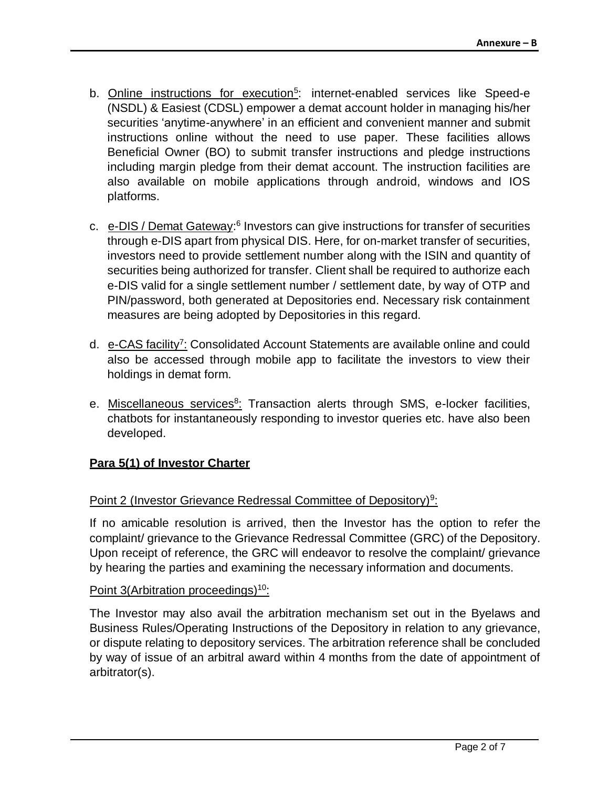- b. **Online instructions for execution<sup>5</sup>:** internet-enabled services like Speed-e (NSDL) & Easiest (CDSL) empower a demat account holder in managing his/her securities 'anytime-anywhere' in an efficient and convenient manner and submit instructions online without the need to use paper. These facilities allows Beneficial Owner (BO) to submit transfer instructions and pledge instructions including margin pledge from their demat account. The instruction facilities are also available on mobile applications through android, windows and IOS platforms.
- c. e-DIS / Demat Gateway:<sup>6</sup> Investors can give instructions for transfer of securities through e-DIS apart from physical DIS. Here, for on-market transfer of securities, investors need to provide settlement number along with the ISIN and quantity of securities being authorized for transfer. Client shall be required to authorize each e-DIS valid for a single settlement number / settlement date, by way of OTP and PIN/password, both generated at Depositories end. Necessary risk containment measures are being adopted by Depositories in this regard.
- d. e-CAS facility<sup>7</sup>: Consolidated Account Statements are available online and could also be accessed through mobile app to facilitate the investors to view their holdings in demat form.
- e. Miscellaneous services<sup>8</sup>: Transaction alerts through SMS, e-locker facilities, chatbots for instantaneously responding to investor queries etc. have also been developed.

### **Para 5(1) of Investor Charter**

### Point 2 (Investor Grievance Redressal Committee of Depository)<sup>9</sup>:

If no amicable resolution is arrived, then the Investor has the option to refer the complaint/ grievance to the Grievance Redressal Committee (GRC) of the Depository. Upon receipt of reference, the GRC will endeavor to resolve the complaint/ grievance by hearing the parties and examining the necessary information and documents.

#### Point 3(Arbitration proceedings)<sup>10</sup>:

The Investor may also avail the arbitration mechanism set out in the Byelaws and Business Rules/Operating Instructions of the Depository in relation to any grievance, or dispute relating to depository services. The arbitration reference shall be concluded by way of issue of an arbitral award within 4 months from the date of appointment of arbitrator(s).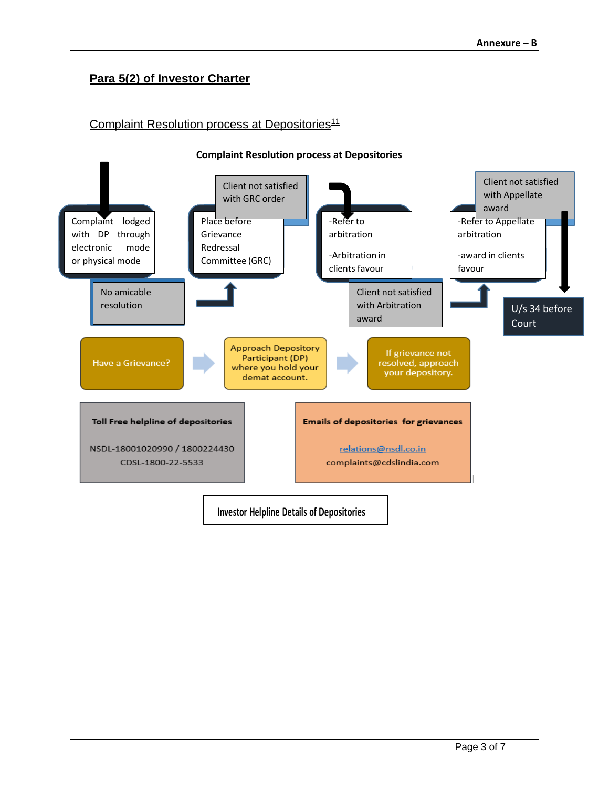# **Para 5(2) of Investor Charter**

### Complaint Resolution process at Depositories<sup>11</sup>

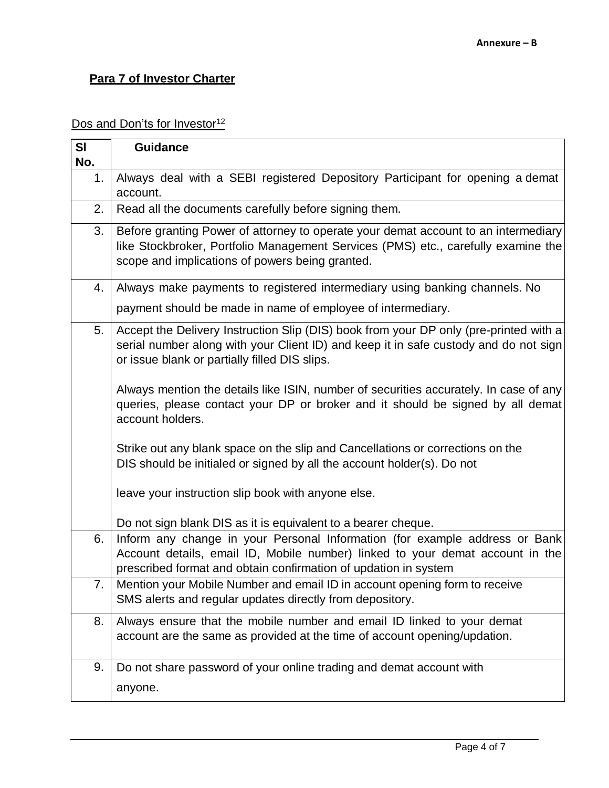# **Para 7 of Investor Charter**

### Dos and Don'ts for Investor<sup>12</sup>

| SI  | <b>Guidance</b>                                                                                                                                                                                                                 |
|-----|---------------------------------------------------------------------------------------------------------------------------------------------------------------------------------------------------------------------------------|
| No. |                                                                                                                                                                                                                                 |
| 1.  | Always deal with a SEBI registered Depository Participant for opening a demat<br>account.                                                                                                                                       |
| 2.  | Read all the documents carefully before signing them.                                                                                                                                                                           |
| 3.  | Before granting Power of attorney to operate your demat account to an intermediary<br>like Stockbroker, Portfolio Management Services (PMS) etc., carefully examine the<br>scope and implications of powers being granted.      |
| 4.  | Always make payments to registered intermediary using banking channels. No                                                                                                                                                      |
|     | payment should be made in name of employee of intermediary.                                                                                                                                                                     |
| 5.  | Accept the Delivery Instruction Slip (DIS) book from your DP only (pre-printed with a<br>serial number along with your Client ID) and keep it in safe custody and do not sign<br>or issue blank or partially filled DIS slips.  |
|     | Always mention the details like ISIN, number of securities accurately. In case of any<br>queries, please contact your DP or broker and it should be signed by all demat<br>account holders.                                     |
|     | Strike out any blank space on the slip and Cancellations or corrections on the<br>DIS should be initialed or signed by all the account holder(s). Do not                                                                        |
|     | leave your instruction slip book with anyone else.                                                                                                                                                                              |
|     | Do not sign blank DIS as it is equivalent to a bearer cheque.                                                                                                                                                                   |
| 6.  | Inform any change in your Personal Information (for example address or Bank<br>Account details, email ID, Mobile number) linked to your demat account in the<br>prescribed format and obtain confirmation of updation in system |
| 7.  | Mention your Mobile Number and email ID in account opening form to receive<br>SMS alerts and regular updates directly from depository.                                                                                          |
| 8.  | Always ensure that the mobile number and email ID linked to your demat<br>account are the same as provided at the time of account opening/updation.                                                                             |
| 9.  | Do not share password of your online trading and demat account with                                                                                                                                                             |
|     | anyone.                                                                                                                                                                                                                         |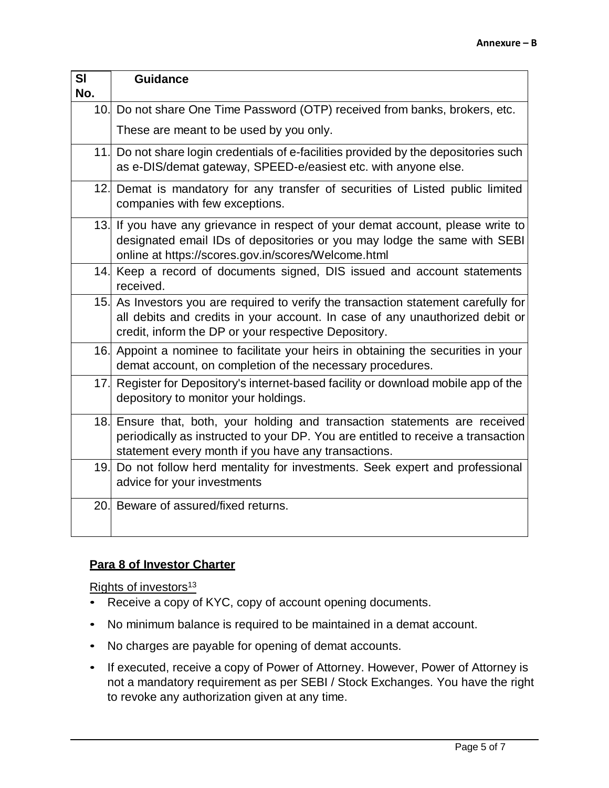| SI<br>No. | <b>Guidance</b>                                                                                                                                                                                                             |
|-----------|-----------------------------------------------------------------------------------------------------------------------------------------------------------------------------------------------------------------------------|
|           | 10. Do not share One Time Password (OTP) received from banks, brokers, etc.                                                                                                                                                 |
|           | These are meant to be used by you only.                                                                                                                                                                                     |
|           | 11. Do not share login credentials of e-facilities provided by the depositories such<br>as e-DIS/demat gateway, SPEED-e/easiest etc. with anyone else.                                                                      |
|           | 12. Demat is mandatory for any transfer of securities of Listed public limited<br>companies with few exceptions.                                                                                                            |
|           | 13. If you have any grievance in respect of your demat account, please write to<br>designated email IDs of depositories or you may lodge the same with SEBI<br>online at https://scores.gov.in/scores/Welcome.html          |
|           | 14. Keep a record of documents signed, DIS issued and account statements<br>received.                                                                                                                                       |
|           | 15. As Investors you are required to verify the transaction statement carefully for<br>all debits and credits in your account. In case of any unauthorized debit or<br>credit, inform the DP or your respective Depository. |
|           | 16. Appoint a nominee to facilitate your heirs in obtaining the securities in your<br>demat account, on completion of the necessary procedures.                                                                             |
|           | 17. Register for Depository's internet-based facility or download mobile app of the<br>depository to monitor your holdings.                                                                                                 |
|           | 18. Ensure that, both, your holding and transaction statements are received<br>periodically as instructed to your DP. You are entitled to receive a transaction<br>statement every month if you have any transactions.      |
|           | 19. Do not follow herd mentality for investments. Seek expert and professional<br>advice for your investments                                                                                                               |
|           | 20. Beware of assured/fixed returns.                                                                                                                                                                                        |

### **Para 8 of Investor Charter**

Rights of investors<sup>13</sup>

- Receive a copy of KYC, copy of account opening documents.
- No minimum balance is required to be maintained in a demat account.
- No charges are payable for opening of demat accounts.
- If executed, receive a copy of Power of Attorney. However, Power of Attorney is not a mandatory requirement as per SEBI / Stock Exchanges. You have the right to revoke any authorization given at any time.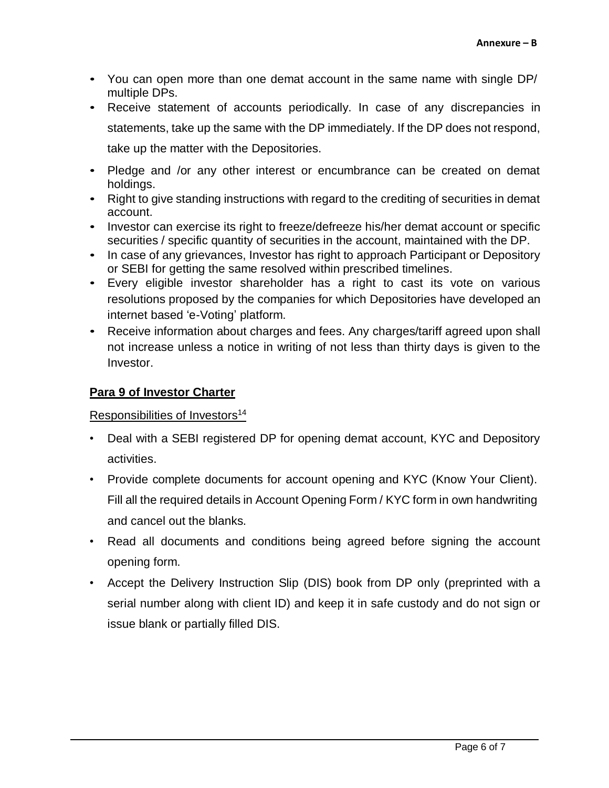- You can open more than one demat account in the same name with single DP/ multiple DPs.
- Receive statement of accounts periodically. In case of any discrepancies in statements, take up the same with the DP immediately. If the DP does not respond, take up the matter with the Depositories.
- Pledge and /or any other interest or encumbrance can be created on demat holdings.
- Right to give standing instructions with regard to the crediting of securities in demat account.
- Investor can exercise its right to freeze/defreeze his/her demat account or specific securities / specific quantity of securities in the account, maintained with the DP.
- In case of any grievances, Investor has right to approach Participant or Depository or SEBI for getting the same resolved within prescribed timelines.
- Every eligible investor shareholder has a right to cast its vote on various resolutions proposed by the companies for which Depositories have developed an internet based 'e-Voting' platform.
- Receive information about charges and fees. Any charges/tariff agreed upon shall not increase unless a notice in writing of not less than thirty days is given to the Investor.

# **Para 9 of Investor Charter**

## Responsibilities of Investors<sup>14</sup>

- Deal with a SEBI registered DP for opening demat account, KYC and Depository activities.
- Provide complete documents for account opening and KYC (Know Your Client). Fill all the required details in Account Opening Form / KYC form in own handwriting and cancel out the blanks.
- Read all documents and conditions being agreed before signing the account opening form.
- Accept the Delivery Instruction Slip (DIS) book from DP only (preprinted with a serial number along with client ID) and keep it in safe custody and do not sign or issue blank or partially filled DIS.